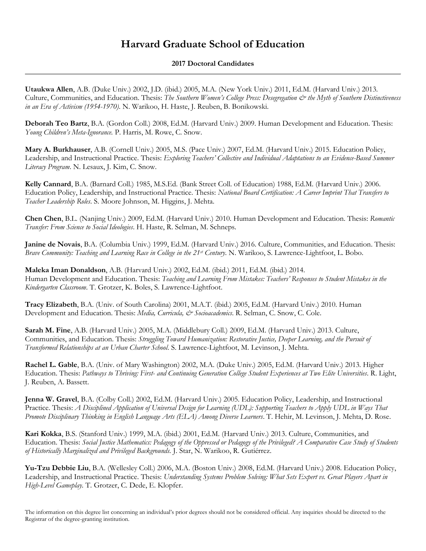## **Harvard Graduate School of Education**

## **2017 Doctoral Candidates**

**Utaukwa Allen**, A.B. (Duke Univ.) 2002, J.D. (ibid.) 2005, M.A. (New York Univ.) 2011, Ed.M. (Harvard Univ.) 2013. Culture, Communities, and Education. Thesis: *The Southern Women's College Press: Desegregation*  $\mathcal O$  *the Myth of Southern Distinctiveness in an Era of Activism (1954-1970)*. N. Warikoo, H. Haste, J. Reuben, B. Bonikowski.

**Deborah Teo Bartz**, B.A. (Gordon Coll.) 2008, Ed.M. (Harvard Univ.) 2009. Human Development and Education. Thesis: *Young Children's Meta-Ignorance.* P. Harris, M. Rowe, C. Snow.

**Mary A. Burkhauser**, A.B. (Cornell Univ.) 2005, M.S. (Pace Univ.) 2007, Ed.M. (Harvard Univ.) 2015. Education Policy, Leadership, and Instructional Practice. Thesis: *Exploring Teachers' Collective and Individual Adaptations to an Evidence-Based Summer Literacy Program*. N. Lesaux, J. Kim, C. Snow.

**Kelly Cannard**, B.A. (Barnard Coll.) 1985, M.S.Ed. (Bank Street Coll. of Education) 1988, Ed.M. (Harvard Univ.) 2006. Education Policy, Leadership, and Instructional Practice. Thesis: *National Board Certification: A Career Imprint That Transfers to Teacher Leadership Roles*. S. Moore Johnson, M. Higgins, J. Mehta.

**Chen Chen**, B.L. (Nanjing Univ.) 2009, Ed.M. (Harvard Univ.) 2010. Human Development and Education. Thesis: *Romantic Transfer: From Science to Social Ideologies*. H. Haste, R. Selman, M. Schneps.

**Janine de Novais**, B.A. (Columbia Univ.) 1999, Ed.M. (Harvard Univ.) 2016. Culture, Communities, and Education. Thesis: *Brave Community: Teaching and Learning Race in College in the 21st Century*. N. Warikoo, S. Lawrence-Lightfoot, L. Bobo.

**Maleka Iman Donaldson**, A.B. (Harvard Univ.) 2002, Ed.M. (ibid.) 2011, Ed.M. (ibid.) 2014. Human Development and Education. Thesis: *Teaching and Learning From Mistakes: Teachers' Responses to Student Mistakes in the Kindergarten Classroom*. T. Grotzer, K. Boles, S. Lawrence-Lightfoot.

**Tracy Elizabeth**, B.A. (Univ. of South Carolina) 2001, M.A.T. (ibid.) 2005, Ed.M. (Harvard Univ.) 2010. Human Development and Education. Thesis: *Media, Curricula, & Socioacademics*. R. Selman, C. Snow, C. Cole.

**Sarah M. Fine**, A.B. (Harvard Univ.) 2005, M.A. (Middlebury Coll.) 2009, Ed.M. (Harvard Univ.) 2013. Culture, Communities, and Education. Thesis: *Struggling Toward Humanization: Restorative Justice, Deeper Learning, and the Pursuit of Transformed Relationships at an Urban Charter School*. S. Lawrence-Lightfoot, M. Levinson, J. Mehta.

**Rachel L. Gable**, B.A. (Univ. of Mary Washington) 2002, M.A. (Duke Univ.) 2005, Ed.M. (Harvard Univ.) 2013. Higher Education. Thesis: *Pathways to Thriving: First- and Continuing Generation College Student Experiences at Two Elite Universities*. R. Light, J. Reuben, A. Bassett.

**Jenna W. Gravel**, B.A. (Colby Coll.) 2002, Ed.M. (Harvard Univ.) 2005. Education Policy, Leadership, and Instructional Practice. Thesis: *A Disciplined Application of Universal Design for Learning (UDL): Supporting Teachers to Apply UDL in Ways That Promote Disciplinary Thinking in English Language Arts (ELA) Among Diverse Learners*. T. Hehir, M. Levinson, J. Mehta, D. Rose.

**Kari Kokka**, B.S. (Stanford Univ.) 1999, M.A. (ibid.) 2001, Ed.M. (Harvard Univ.) 2013. Culture, Communities, and Education. Thesis: *Social Justice Mathematics: Pedagogy of the Oppressed or Pedagogy of the Privileged? A Comparative Case Study of Students of Historically Marginalized and Privileged Backgrounds.* J. Star, N. Warikoo, R. Gutiérrez.

**Yu-Tzu Debbie Liu**, B.A. (Wellesley Coll.) 2006, M.A. (Boston Univ.) 2008, Ed.M. (Harvard Univ.) 2008. Education Policy, Leadership, and Instructional Practice. Thesis: *Understanding Systems Problem Solving: What Sets Expert vs. Great Players Apart in High-Level Gameplay.* T. Grotzer, C. Dede, E. Klopfer.

The information on this degree list concerning an individual's prior degrees should not be considered official. Any inquiries should be directed to the Registrar of the degree-granting institution.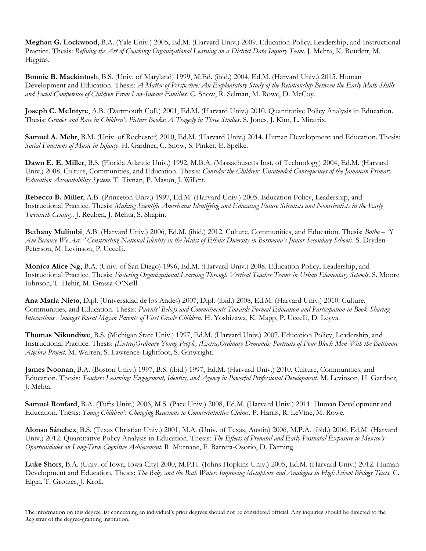**Meghan G. Lockwood**, B.A. (Yale Univ.) 2005, Ed.M. (Harvard Univ.) 2009. Education Policy, Leadership, and Instructional Practice. Thesis: *Refining the Art of Coaching: Organizational Learning on a District Data Inquiry Team*. J. Mehta, K. Boudett, M. Higgins.

**Bonnie B. Mackintosh**, B.S. (Univ. of Maryland) 1999, M.Ed. (ibid.) 2004, Ed.M. (Harvard Univ.) 2015. Human Development and Education. Thesis: *A Matter of Perspective: An Exploaratory Study of the Relationship Between the Early Math Skills and Social Competence of Children From Low-Income Families*. C. Snow, R. Selman, M. Rowe, D. McCoy.

**Joseph C. McIntyre**, A.B. (Dartmouth Coll.) 2001, Ed.M. (Harvard Univ.) 2010. Quantitative Policy Analysis in Education. Thesis: *Gender and Race in Children's Picture Books: A Tragedy in Three Studies*. S. Jones, J. Kim, L. Miratrix.

**Samuel A. Mehr**, B.M. (Univ. of Rochester) 2010, Ed.M. (Harvard Univ.) 2014. Human Development and Education. Thesis: *Social Functions of Music in Infancy*. H. Gardner, C. Snow, S. Pinker, E. Spelke.

**Dawn E. E. Miller**, B.S. (Florida Atlantic Univ.) 1992, M.B.A. (Massachusetts Inst. of Technology) 2004, Ed.M. (Harvard Univ.) 2008. Culture, Communities, and Education. Thesis: *Consider the Children: Unintended Consequences of the Jamaican Primary Education Accountability System*. T. Tivnan, P. Mason, J. Willett.

**Rebecca B. Miller**, A.B. (Princeton Univ.) 1997, Ed.M. (Harvard Univ.) 2005. Education Policy, Leadership, and Instructional Practice. Thesis: *Making Scientific Americans: Identifying and Educating Future Scientists and Nonscientists in the Early Twentieth Century*. J. Reuben, J. Mehta, S. Shapin.

**Bethany Mulimbi**, A.B. (Harvard Univ.) 2006, Ed.M. (ibid.) 2012. Culture, Communities, and Education. Thesis: *Botho – "I Am Because We Are." Constructing National Identity in the Midst of Ethnic Diversity in Botswana's Junior Secondary Schools.* S. Dryden-Peterson, M. Levinson, P. Uccelli.

**Monica Alice Ng**, B.A. (Univ. of San Diego) 1996, Ed.M. (Harvard Univ.) 2008. Education Policy, Leadership, and Instructional Practice. Thesis: *Fostering Organizational Learning Through Vertical Teacher Teams in Urban Elementary Schools*. S. Moore Johnson, T. Hehir, M. Grassa-O'Neill.

**Ana Maria Nieto**, Dipl. (Universidad de los Andes) 2007, Dipl. (ibid.) 2008, Ed.M. (Harvard Univ.) 2010. Culture, Communities, and Education. Thesis: *Parents' Beliefs and Commitments Towards Formal Education and Participation in Book-Sharing Interactions Amongst Rural Mayan Parents of First Grade Children*. H. Yoshizawa, K. Mapp, P. Uccelli, D. Leyva.

**Thomas Nikundiwe**, B.S. (Michigan State Univ.) 1997, Ed.M. (Harvard Univ.) 2007. Education Policy, Leadership, and Instructional Practice. Thesis: *(Extra)Ordinary Young People, (Extra)Ordinary Demands: Portraits of Four Black Men With the Baltimore Algebra Project*. M. Warren, S. Lawrence-Lightfoot, S. Ginwright.

**James Noonan**, B.A. (Boston Univ.) 1997, B.S. (ibid.) 1997, Ed.M. (Harvard Univ.) 2010. Culture, Communities, and Education. Thesis: *Teachers Learning: Engagement, Identity, and Agency in Powerful Professional Development.* M. Levinson, H. Gardner, J. Mehta.

**Samuel Ronfard**, B.A. (Tufts Univ.) 2006, M.S. (Pace Univ.) 2008, Ed.M. (Harvard Univ.) 2011. Human Development and Education. Thesis: *Young Children's Changing Reactions to Counterintuitive Claims*. P. Harris, R. LeVine, M. Rowe.

**Alonso Sánchez**, B.S. (Texas Christian Univ.) 2001, M.A. (Univ. of Texas, Austin) 2006, M.P.A. (ibid.) 2006, Ed.M. (Harvard Univ.) 2012. Quantitative Policy Analysis in Education. Thesis: *The Effects of Prenatal and Early-Postnatal Exposure to Mexico's Oportunidades on Long-Term Cognitive Achievement*. R. Murnane, F. Barrera-Osorio, D. Deming.

**Luke Shors**, B.A. (Univ. of Iowa, Iowa City) 2000, M.P.H. (Johns Hopkins Univ.) 2005, Ed.M. (Harvard Univ.) 2012. Human Development and Education. Thesis: *The Baby and the Bath Water: Improving Metaphors and Analogies in High School Biology Texts.* C. Elgin, T. Grotzer, J. Kroll.

The information on this degree list concerning an individual's prior degrees should not be considered official. Any inquiries should be directed to the Registrar of the degree-granting institution.